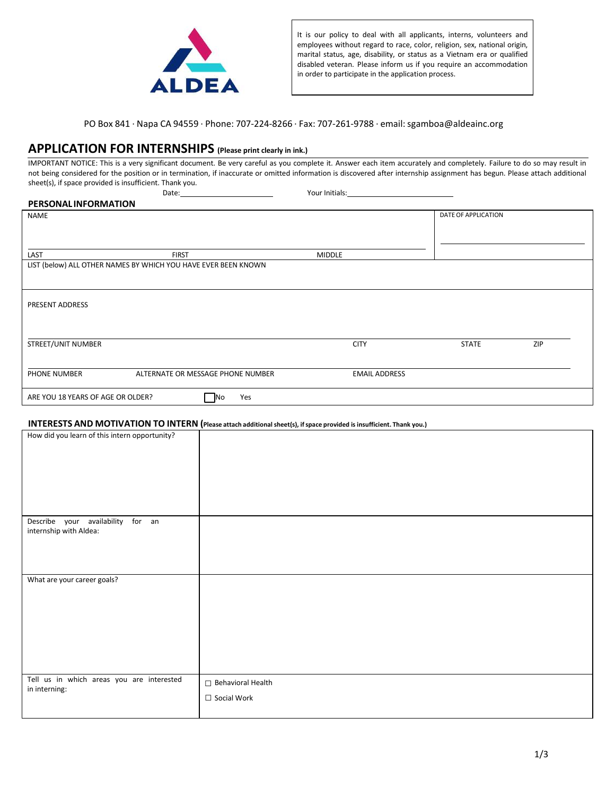

It is our policy to deal with all applicants, interns, volunteers and employees without regard to race, color, religion, sex, national origin, marital status, age, disability, or status as a Vietnam era or qualified disabled veteran. Please inform us if you require an accommodation in order to participate in the application process.

PO Box 841 ⋅ Napa CA 94559 ⋅ Phone: 707-224-8266 ⋅ Fax: 707-261-9788 ⋅ email: sgamboa@aldeainc.org

# **APPLICATION FOR INTERNSHIPS (Please print clearly in ink.)**

IMPORTANT NOTICE: This is a very significant document. Be very careful as you complete it. Answer each item accurately and completely. Failure to do so may result in not being considered for the position or in termination, if inaccurate or omitted information is discovered after internship assignment has begun. Please attach additional sheet(s), if space provided is insufficient. Thank you. Date: Vour Initials:

| <b>PERSONALINFORMATION</b>        |                                                                |                      |                     |     |
|-----------------------------------|----------------------------------------------------------------|----------------------|---------------------|-----|
| NAME                              |                                                                |                      | DATE OF APPLICATION |     |
|                                   |                                                                |                      |                     |     |
|                                   |                                                                |                      |                     |     |
| LAST                              | <b>FIRST</b>                                                   | <b>MIDDLE</b>        |                     |     |
|                                   | LIST (below) ALL OTHER NAMES BY WHICH YOU HAVE EVER BEEN KNOWN |                      |                     |     |
|                                   |                                                                |                      |                     |     |
| PRESENT ADDRESS                   |                                                                |                      |                     |     |
|                                   |                                                                |                      |                     |     |
| STREET/UNIT NUMBER                |                                                                | <b>CITY</b>          | <b>STATE</b>        | ZIP |
|                                   |                                                                |                      |                     |     |
| PHONE NUMBER                      | ALTERNATE OR MESSAGE PHONE NUMBER                              | <b>EMAIL ADDRESS</b> |                     |     |
| ARE YOU 18 YEARS OF AGE OR OLDER? | Yes<br>No                                                      |                      |                     |     |

#### **INTERESTS AND MOTIVATION TO INTERN (Please attach additional sheet(s), ifspace provided is insufficient. Thank you.)**

|                                               | $\cdots$          |
|-----------------------------------------------|-------------------|
| How did you learn of this intern opportunity? |                   |
|                                               |                   |
|                                               |                   |
|                                               |                   |
|                                               |                   |
| Describe your availability for an             |                   |
| internship with Aldea:                        |                   |
|                                               |                   |
|                                               |                   |
| What are your career goals?                   |                   |
|                                               |                   |
|                                               |                   |
|                                               |                   |
|                                               |                   |
|                                               |                   |
| Tell us in which areas you are interested     | Behavioral Health |
| in interning:                                 | □ Social Work     |
|                                               |                   |
|                                               |                   |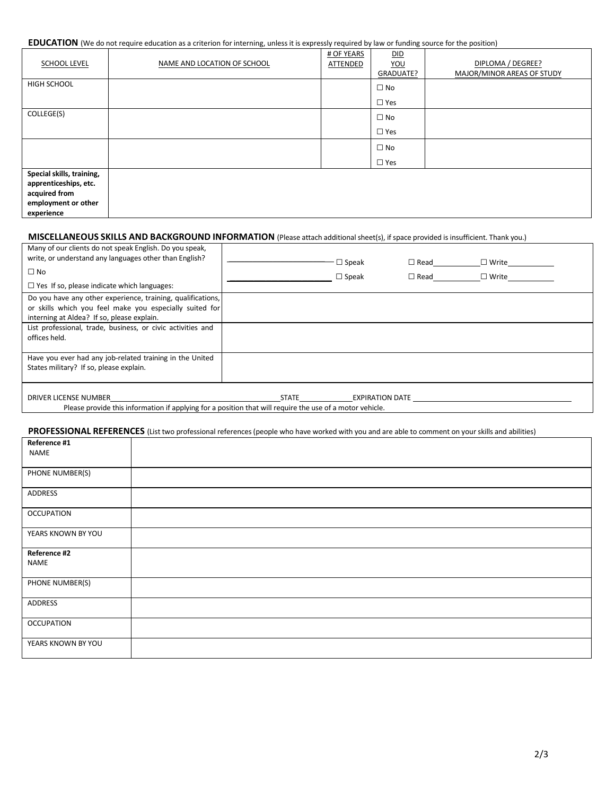#### **EDUCATION** (We do not require education as a criterion for interning, unless it is expressly required by law or funding source for the position)

| <b>SCHOOL LEVEL</b>                                                                                      | NAME AND LOCATION OF SCHOOL | # OF YEARS<br>ATTENDED | DID<br>YOU<br>GRADUATE? | DIPLOMA / DEGREE?<br>MAJOR/MINOR AREAS OF STUDY |
|----------------------------------------------------------------------------------------------------------|-----------------------------|------------------------|-------------------------|-------------------------------------------------|
| <b>HIGH SCHOOL</b>                                                                                       |                             |                        | $\square$ No            |                                                 |
|                                                                                                          |                             |                        | $\Box$ Yes              |                                                 |
| COLLEGE(S)                                                                                               |                             |                        | $\square$ No            |                                                 |
|                                                                                                          |                             |                        | $\Box$ Yes              |                                                 |
|                                                                                                          |                             |                        | $\square$ No            |                                                 |
|                                                                                                          |                             |                        | $\square$ Yes           |                                                 |
| Special skills, training,<br>apprenticeships, etc.<br>acquired from<br>employment or other<br>experience |                             |                        |                         |                                                 |

#### **MISCELLANEOUS SKILLS AND BACKGROUND INFORMATION** (Please attach additionalsheet(s), if space provided is insufficient. Thank you.)

| Many of our clients do not speak English. Do you speak,<br>write, or understand any languages other than English?<br>$\square$ No<br>$\Box$ Yes If so, please indicate which languages: |              | $\square$ Speak<br>$\Box$ Speak | $\square$ Read<br>$\square$ Read | $\square$ Write<br>$\square$ Write |  |
|-----------------------------------------------------------------------------------------------------------------------------------------------------------------------------------------|--------------|---------------------------------|----------------------------------|------------------------------------|--|
| Do you have any other experience, training, qualifications,                                                                                                                             |              |                                 |                                  |                                    |  |
| or skills which you feel make you especially suited for                                                                                                                                 |              |                                 |                                  |                                    |  |
| interning at Aldea? If so, please explain.                                                                                                                                              |              |                                 |                                  |                                    |  |
| List professional, trade, business, or civic activities and                                                                                                                             |              |                                 |                                  |                                    |  |
| offices held.                                                                                                                                                                           |              |                                 |                                  |                                    |  |
|                                                                                                                                                                                         |              |                                 |                                  |                                    |  |
| Have you ever had any job-related training in the United                                                                                                                                |              |                                 |                                  |                                    |  |
| States military? If so, please explain.                                                                                                                                                 |              |                                 |                                  |                                    |  |
|                                                                                                                                                                                         |              |                                 |                                  |                                    |  |
| DRIVER LICENSE NUMBER                                                                                                                                                                   | <b>STATE</b> | <b>EXPIRATION DATE</b>          |                                  |                                    |  |

Please provide this information if applying for a position that will require the use of a motor vehicle.

### PROFESSIONAL REFERENCES (List two professional references (people who have worked with you and are able to comment on your skills and abilities)

| Reference #1       |  |
|--------------------|--|
| <b>NAME</b>        |  |
|                    |  |
| PHONE NUMBER(S)    |  |
| ADDRESS            |  |
| <b>OCCUPATION</b>  |  |
| YEARS KNOWN BY YOU |  |
| Reference #2       |  |
| <b>NAME</b>        |  |
| PHONE NUMBER(S)    |  |
| ADDRESS            |  |
| <b>OCCUPATION</b>  |  |
| YEARS KNOWN BY YOU |  |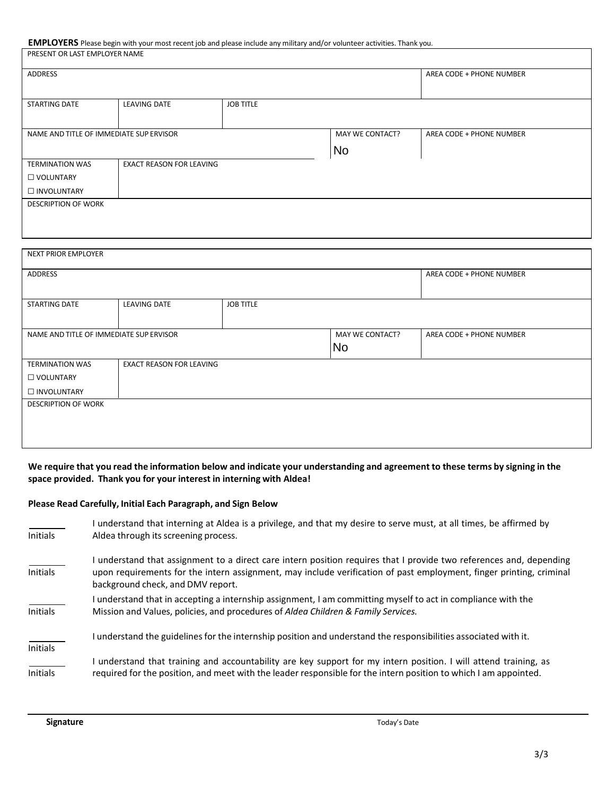**EMPLOYERS** Please begin with your most recent job and please include any military and/or volunteer activities. Thank you.

| PRESENT OR LAST EMPLOYER NAME           |                                 |                  |                 |                          |
|-----------------------------------------|---------------------------------|------------------|-----------------|--------------------------|
| ADDRESS                                 |                                 |                  |                 | AREA CODE + PHONE NUMBER |
|                                         |                                 |                  |                 |                          |
| STARTING DATE                           | LEAVING DATE                    | <b>JOB TITLE</b> |                 |                          |
|                                         |                                 |                  |                 |                          |
| NAME AND TITLE OF IMMEDIATE SUP ERVISOR |                                 |                  | MAY WE CONTACT? | AREA CODE + PHONE NUMBER |
|                                         |                                 |                  | No              |                          |
| <b>TERMINATION WAS</b>                  | <b>EXACT REASON FOR LEAVING</b> |                  |                 |                          |
| □ VOLUNTARY                             |                                 |                  |                 |                          |
|                                         |                                 |                  |                 |                          |
| INVOLUNTARY                             |                                 |                  |                 |                          |
| <b>DESCRIPTION OF WORK</b>              |                                 |                  |                 |                          |
|                                         |                                 |                  |                 |                          |

| NEXT PRIOR EMPLOYER                     |                                 |                  |                 |                          |
|-----------------------------------------|---------------------------------|------------------|-----------------|--------------------------|
| ADDRESS                                 |                                 |                  |                 | AREA CODE + PHONE NUMBER |
| STARTING DATE                           | LEAVING DATE                    | <b>JOB TITLE</b> |                 |                          |
| NAME AND TITLE OF IMMEDIATE SUP ERVISOR |                                 |                  | MAY WE CONTACT? | AREA CODE + PHONE NUMBER |
|                                         |                                 |                  | No              |                          |
| <b>TERMINATION WAS</b>                  | <b>EXACT REASON FOR LEAVING</b> |                  |                 |                          |
| U VOLUNTARY                             |                                 |                  |                 |                          |
| □ INVOLUNTARY                           |                                 |                  |                 |                          |
| <b>DESCRIPTION OF WORK</b>              |                                 |                  |                 |                          |
|                                         |                                 |                  |                 |                          |
|                                         |                                 |                  |                 |                          |
|                                         |                                 |                  |                 |                          |

### We require that you read the information below and indicate your understanding and agreement to these terms by signing in the **space provided. Thank you for your interest in interning with Aldea!**

### **Please Read Carefully, Initial Each Paragraph, and Sign Below**

| <b>Initials</b> | understand that interning at Aldea is a privilege, and that my desire to serve must, at all times, be affirmed by<br>Aldea through its screening process.                                                                                                                     |
|-----------------|-------------------------------------------------------------------------------------------------------------------------------------------------------------------------------------------------------------------------------------------------------------------------------|
| <b>Initials</b> | understand that assignment to a direct care intern position requires that I provide two references and, depending<br>upon requirements for the intern assignment, may include verification of past employment, finger printing, criminal<br>background check, and DMV report. |
| <b>Initials</b> | I understand that in accepting a internship assignment, I am committing myself to act in compliance with the<br>Mission and Values, policies, and procedures of Aldea Children & Family Services.                                                                             |
| <b>Initials</b> | I understand the guidelines for the internship position and understand the responsibilities associated with it.                                                                                                                                                               |
| <b>Initials</b> | understand that training and accountability are key support for my intern position. I will attend training, as<br>required for the position, and meet with the leader responsible for the intern position to which I am appointed.                                            |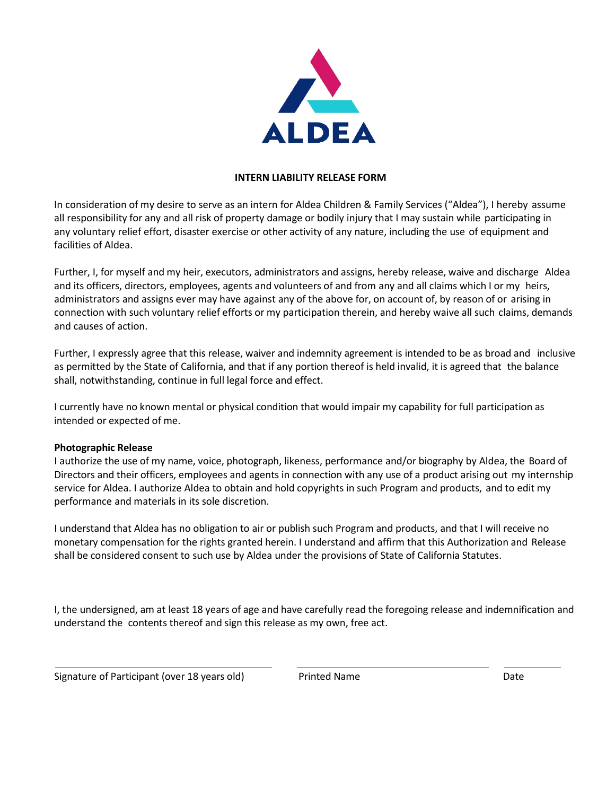

# **INTERN LIABILITY RELEASE FORM**

In consideration of my desire to serve as an intern for Aldea Children & Family Services ("Aldea"), I hereby assume all responsibility for any and all risk of property damage or bodily injury that I may sustain while participating in any voluntary relief effort, disaster exercise or other activity of any nature, including the use of equipment and facilities of Aldea.

Further, I, for myself and my heir, executors, administrators and assigns, hereby release, waive and discharge Aldea and its officers, directors, employees, agents and volunteers of and from any and all claims which I or my heirs, administrators and assigns ever may have against any of the above for, on account of, by reason of or arising in connection with such voluntary relief efforts or my participation therein, and hereby waive all such claims, demands and causes of action.

Further, I expressly agree that this release, waiver and indemnity agreement is intended to be as broad and inclusive as permitted by the State of California, and that if any portion thereof is held invalid, it is agreed that the balance shall, notwithstanding, continue in full legal force and effect.

I currently have no known mental or physical condition that would impair my capability for full participation as intended or expected of me.

# **Photographic Release**

I authorize the use of my name, voice, photograph, likeness, performance and/or biography by Aldea, the Board of Directors and their officers, employees and agents in connection with any use of a product arising out my internship service for Aldea. I authorize Aldea to obtain and hold copyrights in such Program and products, and to edit my performance and materials in its sole discretion.

I understand that Aldea has no obligation to air or publish such Program and products, and that I will receive no monetary compensation for the rights granted herein. I understand and affirm that this Authorization and Release shall be considered consent to such use by Aldea under the provisions of State of California Statutes.

I, the undersigned, am at least 18 years of age and have carefully read the foregoing release and indemnification and understand the contents thereof and sign this release as my own, free act.

Signature of Participant (over 18 years old) Trinted Name Name Date